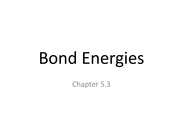# Bond Energies

Chapter 5.3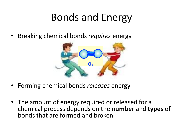#### Bonds and Energy

• Breaking chemical bonds *requires* energy



- Forming chemical bonds *releases* energy
- The amount of energy required or released for a chemical process depends on the **number** and **types** of bonds that are formed and broken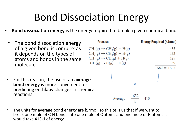# Bond Dissociation Energy

- **Bond dissociation energy** is the energy required to break a given chemical bond
	- The bond dissociation energy of a given bond is complex as it depends on the types of atoms and bonds in the same molecule

| <b>Process</b>                     | <b>Energy Required (kJ/mol)</b> |
|------------------------------------|---------------------------------|
| $CH4(g) \rightarrow CH3(g) + H(g)$ | 435                             |
| $CH3(g) \rightarrow CH2(g) + H(g)$ | 453                             |
| $CH2(g) \rightarrow CH(g) + H(g)$  | 425                             |
| $CH(g) \rightarrow C(g) + H(g)$    | 339                             |
|                                    | $Total = 1652$                  |

• For this reason, the use of an **average bond energy** is more convenient for predicting enthlapy changes in chemical reactions



The units for average bond energy are kJ/mol, so this tells us that if we want to break one mole of C-H bonds into one mole of C atoms and one mole of H atoms it would take 413kJ of energy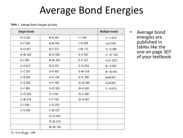#### Average Bond Energies

Table 1 Average Bond Energies (kJ/mol)

| <b>Single bonds</b> |                  |                 | <b>Multiple bonds</b> |
|---------------------|------------------|-----------------|-----------------------|
| H-H 432             | N-H 391          | H149            | $C = C 614$           |
| H-F 565             | N-N 160          | $ $ -Cl 208     | $C=$ C 839            |
| <b>H-CI 427</b>     | N-F 272          | $-Hr 175$       | $0 = 0$ 495           |
| H-Br 363            | <b>N-CI 200</b>  | S-H 347         | $C = 0*745$           |
| H-I 295             | N-Br 243         | S-F 327         | $C = 0$ 1072          |
| C-H413              | $N - 0$ 201      | <b>S-CI 253</b> | $N = 0607$            |
| $C-C$ 347           | 0-H 467          | S-Br 218        | $N = N$ 418           |
| C-N 305             | $0 - 0$ 146      | S-S 266         | $N=N$ 941             |
| $C - 0.358$         | 0-F190           | Si-Si 340       | $C=N$ 891             |
| C-F485              | 0-CI 203         | Si-H 393        | $C = N 615$           |
| C-CI 339            | $0 - 1234$       | Si-C 360        |                       |
| C-Br 276            | F-F 154          | $Si-0$ 452      |                       |
| $C - 1240$          | <b>F-CI 253</b>  |                 |                       |
| $C-S259$            | F-Br 237         |                 |                       |
|                     | <b>CI-CI 239</b> |                 |                       |
|                     | CI-Br 218        |                 |                       |
|                     | <b>Br-Br 193</b> |                 |                       |

• Average bond energies are published in tables like the one on page 307 of your textbook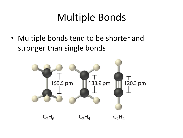# Multiple Bonds

• Multiple bonds tend to be shorter and stronger than single bonds

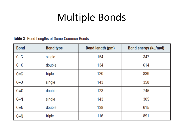# Multiple Bonds

#### Table 2 Bond Lengths of Some Common Bonds

| <b>Bond</b> | <b>Bond type</b> | <b>Bond length (pm)</b> | Bond energy (kJ/mol) |
|-------------|------------------|-------------------------|----------------------|
| $C-C$       | single           | 154                     | 347                  |
| $C = C$     | double           | 134                     | 614                  |
| $C = C$     | triple           | 120                     | 839                  |
| $C-0$       | single           | 143                     | 358                  |
| $C=0$       | double           | 123                     | 745                  |
| $C-N$       | single           | 143                     | 305                  |
| $C = N$     | double           | 138                     | 615                  |
| $C = N$     | triple           | 116                     | 891                  |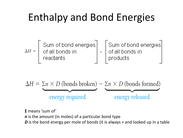# Enthalpy and Bond Energies

$$
\Delta H = \left[\begin{array}{c}\text{Sum of bond energies} \\ \text{of all bonds in} \\ \text{readants}\end{array}\right] - \left[\begin{array}{c}\text{Sum of bond energies} \\ \text{of all bonds in} \\ \text{products}\end{array}\right]
$$

$$
\Delta H = \sum n \times D \text{ (bonds broken)} - \sum n \times D \text{ (bonds formed)}
$$
  
energy required

**Σ** means 'sum of'

*n* is the amount (in moles) of a particular bond type

**D** is the bond energy per mole of bonds (it is always + and looked up in a table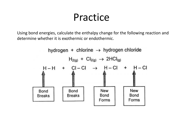#### Practice

Using bond energies, calculate the enthalpy change for the following reaction and determine whether it is exothermic or endothermic.

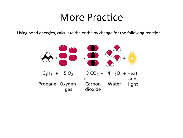#### More Practice

Using bond energies, calculate the enthalpy change for the following reaction.

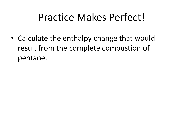#### Practice Makes Perfect!

• Calculate the enthalpy change that would result from the complete combustion of pentane.